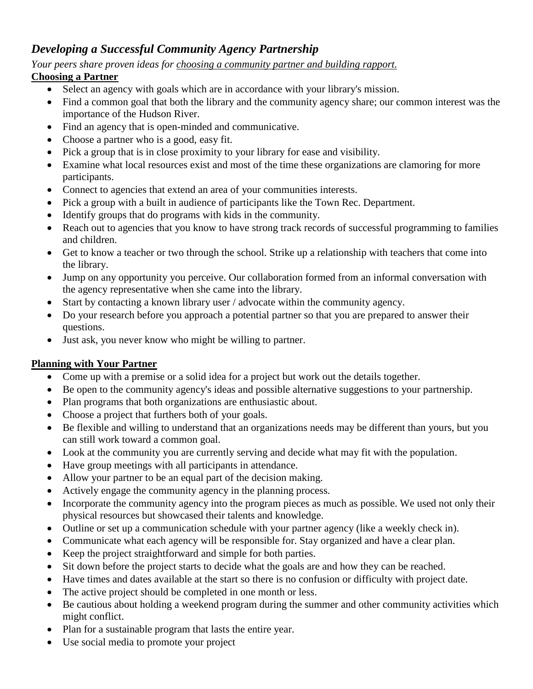# *Developing a Successful Community Agency Partnership*

# *Your peers share proven ideas for choosing a community partner and building rapport.*

## **Choosing a Partner**

- Select an agency with goals which are in accordance with your library's mission.
- Find a common goal that both the library and the community agency share; our common interest was the importance of the Hudson River.
- Find an agency that is open-minded and communicative.
- Choose a partner who is a good, easy fit.
- Pick a group that is in close proximity to your library for ease and visibility.
- Examine what local resources exist and most of the time these organizations are clamoring for more participants.
- Connect to agencies that extend an area of your communities interests.
- Pick a group with a built in audience of participants like the Town Rec. Department.
- Identify groups that do programs with kids in the community.
- Reach out to agencies that you know to have strong track records of successful programming to families and children.
- Get to know a teacher or two through the school. Strike up a relationship with teachers that come into the library.
- Jump on any opportunity you perceive. Our collaboration formed from an informal conversation with the agency representative when she came into the library.
- Start by contacting a known library user / advocate within the community agency.
- Do your research before you approach a potential partner so that you are prepared to answer their questions.
- Just ask, you never know who might be willing to partner.

# **Planning with Your Partner**

- Come up with a premise or a solid idea for a project but work out the details together.
- Be open to the community agency's ideas and possible alternative suggestions to your partnership.
- Plan programs that both organizations are enthusiastic about.
- Choose a project that furthers both of your goals.
- Be flexible and willing to understand that an organizations needs may be different than yours, but you can still work toward a common goal.
- Look at the community you are currently serving and decide what may fit with the population.
- Have group meetings with all participants in attendance.
- Allow your partner to be an equal part of the decision making.
- Actively engage the community agency in the planning process.
- Incorporate the community agency into the program pieces as much as possible. We used not only their physical resources but showcased their talents and knowledge.
- Outline or set up a communication schedule with your partner agency (like a weekly check in).
- Communicate what each agency will be responsible for. Stay organized and have a clear plan.
- Keep the project straightforward and simple for both parties.
- Sit down before the project starts to decide what the goals are and how they can be reached.
- Have times and dates available at the start so there is no confusion or difficulty with project date.
- The active project should be completed in one month or less.
- Be cautious about holding a weekend program during the summer and other community activities which might conflict.
- Plan for a sustainable program that lasts the entire year.
- Use social media to promote your project